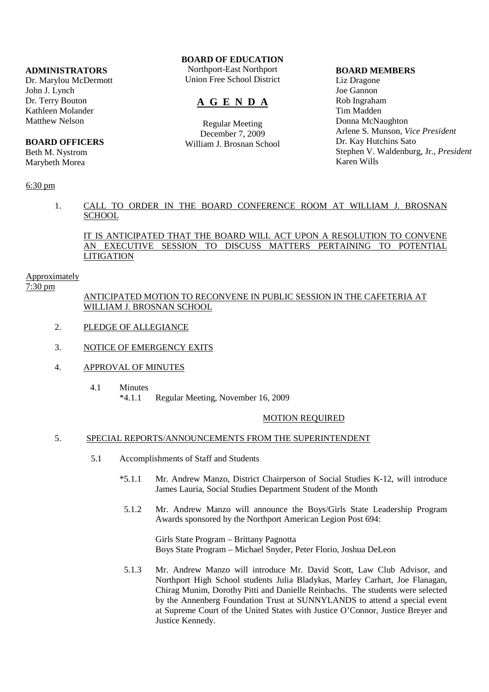# **ADMINISTRATORS**

Dr. Marylou McDermott John J. Lynch Dr. Terry Bouton Kathleen Molander Matthew Nelson

# **BOARD OFFICERS**

Beth M. Nystrom Marybeth Morea

# 6:30 pm

# **BOARD OF EDUCATION**

Northport-East Northport Union Free School District

# **A G E N D A**

Regular Meeting December 7, 2009 William J. Brosnan School

#### **BOARD MEMBERS**

Liz Dragone Joe Gannon Rob Ingraham Tim Madden Donna McNaughton Arlene S. Munson, *Vice President* Dr. Kay Hutchins Sato Stephen V. Waldenburg, Jr., *President* Karen Wills

# 1. CALL TO ORDER IN THE BOARD CONFERENCE ROOM AT WILLIAM J. BROSNAN **SCHOOL**

IT IS ANTICIPATED THAT THE BOARD WILL ACT UPON A RESOLUTION TO CONVENE AN EXECUTIVE SESSION TO DISCUSS MATTERS PERTAINING TO POTENTIAL **LITIGATION** 

## Approximately

7:30 pm

# ANTICIPATED MOTION TO RECONVENE IN PUBLIC SESSION IN THE CAFETERIA AT WILLIAM J. BROSNAN SCHOOL

- 2. PLEDGE OF ALLEGIANCE
- 3. NOTICE OF EMERGENCY EXITS
- 4. APPROVAL OF MINUTES
	- 4.1 Minutes \*4.1.1 Regular Meeting, November 16, 2009

### MOTION REQUIRED

# 5. SPECIAL REPORTS/ANNOUNCEMENTS FROM THE SUPERINTENDENT

- 5.1 Accomplishments of Staff and Students
	- \*5.1.1 Mr. Andrew Manzo, District Chairperson of Social Studies K-12, will introduce James Lauria, Social Studies Department Student of the Month
	- 5.1.2 Mr. Andrew Manzo will announce the Boys/Girls State Leadership Program Awards sponsored by the Northport American Legion Post 694:

 Girls State Program – Brittany Pagnotta Boys State Program – Michael Snyder, Peter Florio, Joshua DeLeon

 5.1.3 Mr. Andrew Manzo will introduce Mr. David Scott, Law Club Advisor, and Northport High School students Julia Bladykas, Marley Carhart, Joe Flanagan, Chirag Munim, Dorothy Pitti and Danielle Reinbachs. The students were selected by the Annenberg Foundation Trust at SUNNYLANDS to attend a special event at Supreme Court of the United States with Justice O'Connor, Justice Breyer and Justice Kennedy.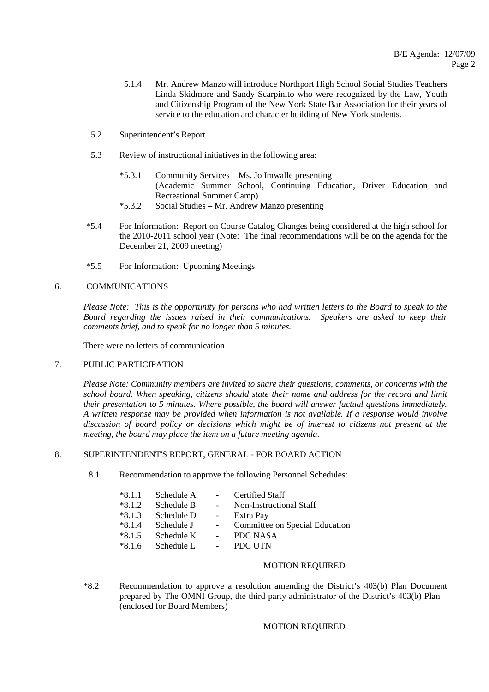- 5.1.4 Mr. Andrew Manzo will introduce Northport High School Social Studies Teachers Linda Skidmore and Sandy Scarpinito who were recognized by the Law, Youth and Citizenship Program of the New York State Bar Association for their years of service to the education and character building of New York students.
- 5.2 Superintendent's Report
- 5.3 Review of instructional initiatives in the following area:
	- \*5.3.1 Community Services Ms. Jo Imwalle presenting (Academic Summer School, Continuing Education, Driver Education and Recreational Summer Camp)
	- \*5.3.2 Social Studies Mr. Andrew Manzo presenting
- \*5.4 For Information: Report on Course Catalog Changes being considered at the high school for the 2010-2011 school year (Note: The final recommendations will be on the agenda for the December 21, 2009 meeting)
- \*5.5 For Information: Upcoming Meetings

# 6. COMMUNICATIONS

*Please Note: This is the opportunity for persons who had written letters to the Board to speak to the Board regarding the issues raised in their communications. Speakers are asked to keep their comments brief, and to speak for no longer than 5 minutes.*

There were no letters of communication

# 7. PUBLIC PARTICIPATION

*Please Note: Community members are invited to share their questions, comments, or concerns with the school board. When speaking, citizens should state their name and address for the record and limit their presentation to 5 minutes. Where possible, the board will answer factual questions immediately. A written response may be provided when information is not available. If a response would involve discussion of board policy or decisions which might be of interest to citizens not present at the meeting, the board may place the item on a future meeting agenda*.

### 8. SUPERINTENDENT'S REPORT, GENERAL - FOR BOARD ACTION

8.1 Recommendation to approve the following Personnel Schedules:

| $*8.1.1$ | Schedule A |        | <b>Certified Staff</b>         |
|----------|------------|--------|--------------------------------|
| $*8.1.2$ | Schedule B | $\sim$ | Non-Instructional Staff        |
| $*8.1.3$ | Schedule D | $\sim$ | Extra Pay                      |
| $*8.1.4$ | Schedule J |        | Committee on Special Education |
| $*8.1.5$ | Schedule K |        | <b>PDC NASA</b>                |
| $*8.1.6$ | Schedule L |        | <b>PDC UTN</b>                 |

### MOTION REQUIRED

 \*8.2 Recommendation to approve a resolution amending the District's 403(b) Plan Document prepared by The OMNI Group, the third party administrator of the District's 403(b) Plan – (enclosed for Board Members)

### MOTION REQUIRED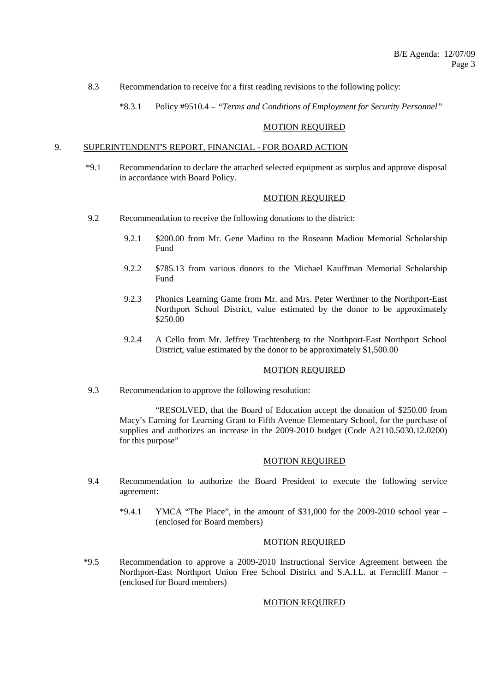- 8.3 Recommendation to receive for a first reading revisions to the following policy:
	- \*8.3.1 Policy #9510.4 *"Terms and Conditions of Employment for Security Personnel"*

#### MOTION REQUIRED

# 9. SUPERINTENDENT'S REPORT, FINANCIAL - FOR BOARD ACTION

 \*9.1 Recommendation to declare the attached selected equipment as surplus and approve disposal in accordance with Board Policy.

#### MOTION REQUIRED

- 9.2 Recommendation to receive the following donations to the district:
	- 9.2.1 \$200.00 from Mr. Gene Madiou to the Roseann Madiou Memorial Scholarship Fund
	- 9.2.2 \$785.13 from various donors to the Michael Kauffman Memorial Scholarship Fund
	- 9.2.3 Phonics Learning Game from Mr. and Mrs. Peter Werthner to the Northport-East Northport School District, value estimated by the donor to be approximately \$250.00
	- 9.2.4 A Cello from Mr. Jeffrey Trachtenberg to the Northport-East Northport School District, value estimated by the donor to be approximately \$1,500.00

## MOTION REQUIRED

9.3 Recommendation to approve the following resolution:

 "RESOLVED, that the Board of Education accept the donation of \$250.00 from Macy's Earning for Learning Grant to Fifth Avenue Elementary School, for the purchase of supplies and authorizes an increase in the 2009-2010 budget (Code A2110.5030.12.0200) for this purpose"

#### MOTION REQUIRED

- 9.4 Recommendation to authorize the Board President to execute the following service agreement:
	- $*9.4.1$  YMCA "The Place", in the amount of \$31,000 for the 2009-2010 school year (enclosed for Board members)

# MOTION REQUIRED

 \*9.5 Recommendation to approve a 2009-2010 Instructional Service Agreement between the Northport-East Northport Union Free School District and S.A.I.L. at Ferncliff Manor – (enclosed for Board members)

#### MOTION REQUIRED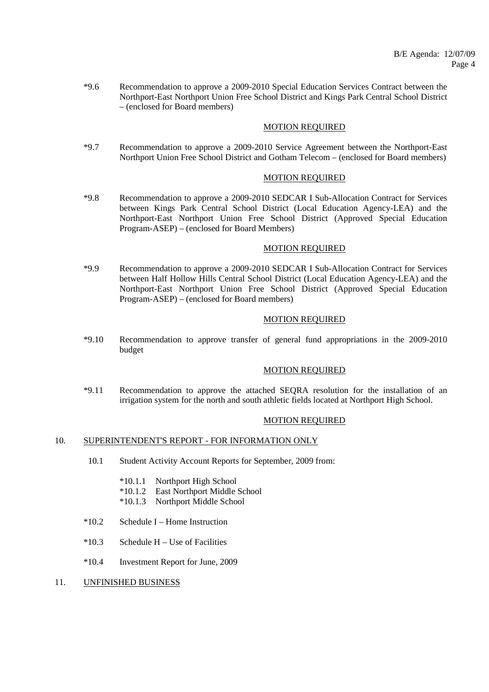\*9.6 Recommendation to approve a 2009-2010 Special Education Services Contract between the Northport-East Northport Union Free School District and Kings Park Central School District – (enclosed for Board members)

## MOTION REQUIRED

 \*9.7 Recommendation to approve a 2009-2010 Service Agreement between the Northport-East Northport Union Free School District and Gotham Telecom – (enclosed for Board members)

# MOTION REQUIRED

 \*9.8 Recommendation to approve a 2009-2010 SEDCAR I Sub-Allocation Contract for Services between Kings Park Central School District (Local Education Agency-LEA) and the Northport-East Northport Union Free School District (Approved Special Education Program-ASEP) – (enclosed for Board Members)

#### MOTION REQUIRED

 \*9.9 Recommendation to approve a 2009-2010 SEDCAR I Sub-Allocation Contract for Services between Half Hollow Hills Central School District (Local Education Agency-LEA) and the Northport-East Northport Union Free School District (Approved Special Education Program-ASEP) – (enclosed for Board members)

## MOTION REQUIRED

 \*9.10 Recommendation to approve transfer of general fund appropriations in the 2009-2010 budget

# MOTION REQUIRED

 \*9.11 Recommendation to approve the attached SEQRA resolution for the installation of an irrigation system for the north and south athletic fields located at Northport High School.

#### MOTION REQUIRED

#### 10. SUPERINTENDENT'S REPORT - FOR INFORMATION ONLY

- 10.1 Student Activity Account Reports for September, 2009 from:
	- \*10.1.1 Northport High School
	- \*10.1.2 East Northport Middle School
	- \*10.1.3 Northport Middle School
- \*10.2 Schedule I Home Instruction
- $*10.3$  Schedule H Use of Facilities
- \*10.4 Investment Report for June, 2009
- 11. UNFINISHED BUSINESS